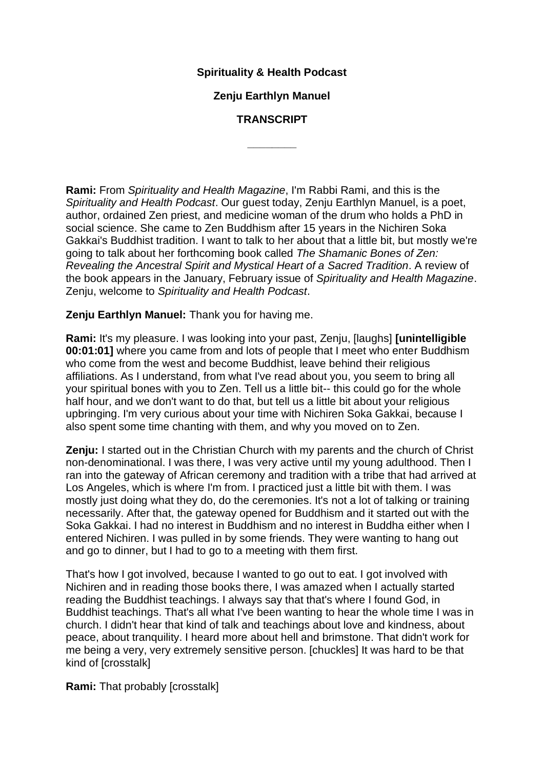## **Spirituality & Health Podcast**

## **Zenju Earthlyn Manuel**

## **TRANSCRIPT**

**\_\_\_\_\_\_\_\_**

**Rami:** From *Spirituality and Health Magazine*, I'm Rabbi Rami, and this is the *Spirituality and Health Podcast*. Our guest today, Zenju Earthlyn Manuel, is a poet, author, ordained Zen priest, and medicine woman of the drum who holds a PhD in social science. She came to Zen Buddhism after 15 years in the Nichiren Soka Gakkai's Buddhist tradition. I want to talk to her about that a little bit, but mostly we're going to talk about her forthcoming book called *The Shamanic Bones of Zen: Revealing the Ancestral Spirit and Mystical Heart of a Sacred Tradition*. A review of the book appears in the January, February issue of *Spirituality and Health Magazine*. Zenju, welcome to *Spirituality and Health Podcast*.

**Zenju Earthlyn Manuel:** Thank you for having me.

**Rami:** It's my pleasure. I was looking into your past, Zenju, [laughs] **[unintelligible 00:01:01]** where you came from and lots of people that I meet who enter Buddhism who come from the west and become Buddhist, leave behind their religious affiliations. As I understand, from what I've read about you, you seem to bring all your spiritual bones with you to Zen. Tell us a little bit-- this could go for the whole half hour, and we don't want to do that, but tell us a little bit about your religious upbringing. I'm very curious about your time with Nichiren Soka Gakkai, because I also spent some time chanting with them, and why you moved on to Zen.

**Zenju:** I started out in the Christian Church with my parents and the church of Christ non-denominational. I was there, I was very active until my young adulthood. Then I ran into the gateway of African ceremony and tradition with a tribe that had arrived at Los Angeles, which is where I'm from. I practiced just a little bit with them. I was mostly just doing what they do, do the ceremonies. It's not a lot of talking or training necessarily. After that, the gateway opened for Buddhism and it started out with the Soka Gakkai. I had no interest in Buddhism and no interest in Buddha either when I entered Nichiren. I was pulled in by some friends. They were wanting to hang out and go to dinner, but I had to go to a meeting with them first.

That's how I got involved, because I wanted to go out to eat. I got involved with Nichiren and in reading those books there, I was amazed when I actually started reading the Buddhist teachings. I always say that that's where I found God, in Buddhist teachings. That's all what I've been wanting to hear the whole time I was in church. I didn't hear that kind of talk and teachings about love and kindness, about peace, about tranquility. I heard more about hell and brimstone. That didn't work for me being a very, very extremely sensitive person. [chuckles] It was hard to be that kind of [crosstalk]

**Rami:** That probably [crosstalk]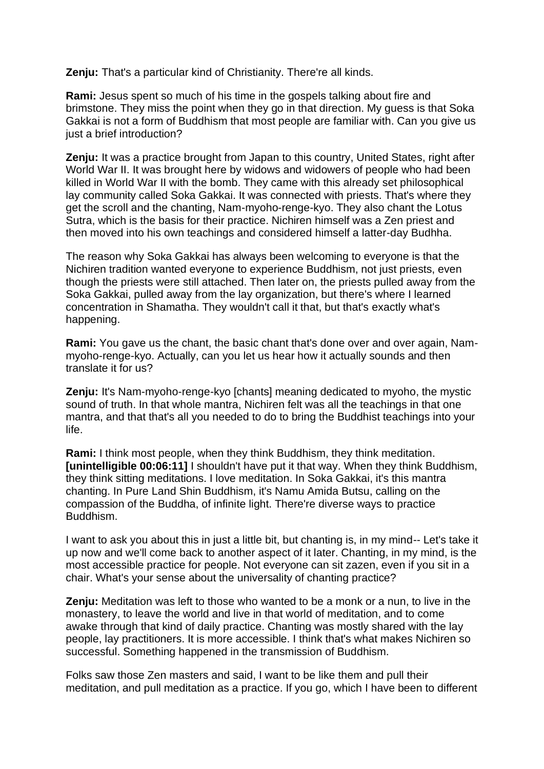**Zenju:** That's a particular kind of Christianity. There're all kinds.

**Rami:** Jesus spent so much of his time in the gospels talking about fire and brimstone. They miss the point when they go in that direction. My guess is that Soka Gakkai is not a form of Buddhism that most people are familiar with. Can you give us just a brief introduction?

**Zenju:** It was a practice brought from Japan to this country, United States, right after World War II. It was brought here by widows and widowers of people who had been killed in World War II with the bomb. They came with this already set philosophical lay community called Soka Gakkai. It was connected with priests. That's where they get the scroll and the chanting, Nam-myoho-renge-kyo. They also chant the Lotus Sutra, which is the basis for their practice. Nichiren himself was a Zen priest and then moved into his own teachings and considered himself a latter-day Budhha.

The reason why Soka Gakkai has always been welcoming to everyone is that the Nichiren tradition wanted everyone to experience Buddhism, not just priests, even though the priests were still attached. Then later on, the priests pulled away from the Soka Gakkai, pulled away from the lay organization, but there's where I learned concentration in Shamatha. They wouldn't call it that, but that's exactly what's happening.

**Rami:** You gave us the chant, the basic chant that's done over and over again, Nammyoho-renge-kyo. Actually, can you let us hear how it actually sounds and then translate it for us?

**Zenju:** It's Nam-myoho-renge-kyo [chants] meaning dedicated to myoho, the mystic sound of truth. In that whole mantra, Nichiren felt was all the teachings in that one mantra, and that that's all you needed to do to bring the Buddhist teachings into your life.

**Rami:** I think most people, when they think Buddhism, they think meditation. **[unintelligible 00:06:11]** I shouldn't have put it that way. When they think Buddhism, they think sitting meditations. I love meditation. In Soka Gakkai, it's this mantra chanting. In Pure Land Shin Buddhism, it's Namu Amida Butsu, calling on the compassion of the Buddha, of infinite light. There're diverse ways to practice Buddhism.

I want to ask you about this in just a little bit, but chanting is, in my mind-- Let's take it up now and we'll come back to another aspect of it later. Chanting, in my mind, is the most accessible practice for people. Not everyone can sit zazen, even if you sit in a chair. What's your sense about the universality of chanting practice?

**Zenju:** Meditation was left to those who wanted to be a monk or a nun, to live in the monastery, to leave the world and live in that world of meditation, and to come awake through that kind of daily practice. Chanting was mostly shared with the lay people, lay practitioners. It is more accessible. I think that's what makes Nichiren so successful. Something happened in the transmission of Buddhism.

Folks saw those Zen masters and said, I want to be like them and pull their meditation, and pull meditation as a practice. If you go, which I have been to different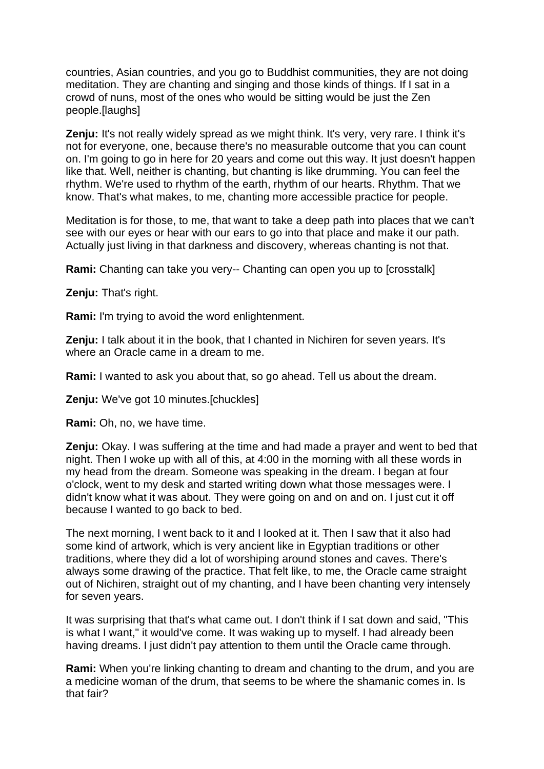countries, Asian countries, and you go to Buddhist communities, they are not doing meditation. They are chanting and singing and those kinds of things. If I sat in a crowd of nuns, most of the ones who would be sitting would be just the Zen people.[laughs]

**Zenju:** It's not really widely spread as we might think. It's very, very rare. I think it's not for everyone, one, because there's no measurable outcome that you can count on. I'm going to go in here for 20 years and come out this way. It just doesn't happen like that. Well, neither is chanting, but chanting is like drumming. You can feel the rhythm. We're used to rhythm of the earth, rhythm of our hearts. Rhythm. That we know. That's what makes, to me, chanting more accessible practice for people.

Meditation is for those, to me, that want to take a deep path into places that we can't see with our eyes or hear with our ears to go into that place and make it our path. Actually just living in that darkness and discovery, whereas chanting is not that.

**Rami:** Chanting can take you very-- Chanting can open you up to [crosstalk]

**Zenju:** That's right.

**Rami:** I'm trying to avoid the word enlightenment.

**Zenju:** I talk about it in the book, that I chanted in Nichiren for seven years. It's where an Oracle came in a dream to me.

**Rami:** I wanted to ask you about that, so go ahead. Tell us about the dream.

**Zenju:** We've got 10 minutes.[chuckles]

**Rami:** Oh, no, we have time.

**Zenju:** Okay. I was suffering at the time and had made a prayer and went to bed that night. Then I woke up with all of this, at 4:00 in the morning with all these words in my head from the dream. Someone was speaking in the dream. I began at four o'clock, went to my desk and started writing down what those messages were. I didn't know what it was about. They were going on and on and on. I just cut it off because I wanted to go back to bed.

The next morning, I went back to it and I looked at it. Then I saw that it also had some kind of artwork, which is very ancient like in Egyptian traditions or other traditions, where they did a lot of worshiping around stones and caves. There's always some drawing of the practice. That felt like, to me, the Oracle came straight out of Nichiren, straight out of my chanting, and I have been chanting very intensely for seven years.

It was surprising that that's what came out. I don't think if I sat down and said, "This is what I want," it would've come. It was waking up to myself. I had already been having dreams. I just didn't pay attention to them until the Oracle came through.

**Rami:** When you're linking chanting to dream and chanting to the drum, and you are a medicine woman of the drum, that seems to be where the shamanic comes in. Is that fair?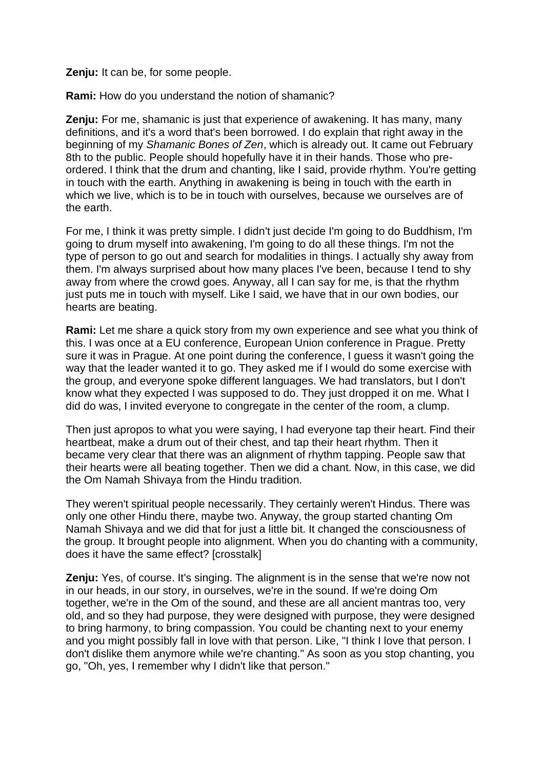**Zenju:** It can be, for some people.

**Rami:** How do you understand the notion of shamanic?

**Zenju:** For me, shamanic is just that experience of awakening. It has many, many definitions, and it's a word that's been borrowed. I do explain that right away in the beginning of my *Shamanic Bones of Zen*, which is already out. It came out February 8th to the public. People should hopefully have it in their hands. Those who preordered. I think that the drum and chanting, like I said, provide rhythm. You're getting in touch with the earth. Anything in awakening is being in touch with the earth in which we live, which is to be in touch with ourselves, because we ourselves are of the earth.

For me, I think it was pretty simple. I didn't just decide I'm going to do Buddhism, I'm going to drum myself into awakening, I'm going to do all these things. I'm not the type of person to go out and search for modalities in things. I actually shy away from them. I'm always surprised about how many places I've been, because I tend to shy away from where the crowd goes. Anyway, all I can say for me, is that the rhythm just puts me in touch with myself. Like I said, we have that in our own bodies, our hearts are beating.

**Rami:** Let me share a quick story from my own experience and see what you think of this. I was once at a EU conference, European Union conference in Prague. Pretty sure it was in Prague. At one point during the conference, I guess it wasn't going the way that the leader wanted it to go. They asked me if I would do some exercise with the group, and everyone spoke different languages. We had translators, but I don't know what they expected I was supposed to do. They just dropped it on me. What I did do was, I invited everyone to congregate in the center of the room, a clump.

Then just apropos to what you were saying, I had everyone tap their heart. Find their heartbeat, make a drum out of their chest, and tap their heart rhythm. Then it became very clear that there was an alignment of rhythm tapping. People saw that their hearts were all beating together. Then we did a chant. Now, in this case, we did the Om Namah Shivaya from the Hindu tradition.

They weren't spiritual people necessarily. They certainly weren't Hindus. There was only one other Hindu there, maybe two. Anyway, the group started chanting Om Namah Shivaya and we did that for just a little bit. It changed the consciousness of the group. It brought people into alignment. When you do chanting with a community, does it have the same effect? [crosstalk]

**Zenju:** Yes, of course. It's singing. The alignment is in the sense that we're now not in our heads, in our story, in ourselves, we're in the sound. If we're doing Om together, we're in the Om of the sound, and these are all ancient mantras too, very old, and so they had purpose, they were designed with purpose, they were designed to bring harmony, to bring compassion. You could be chanting next to your enemy and you might possibly fall in love with that person. Like, "I think I love that person. I don't dislike them anymore while we're chanting." As soon as you stop chanting, you go, "Oh, yes, I remember why I didn't like that person."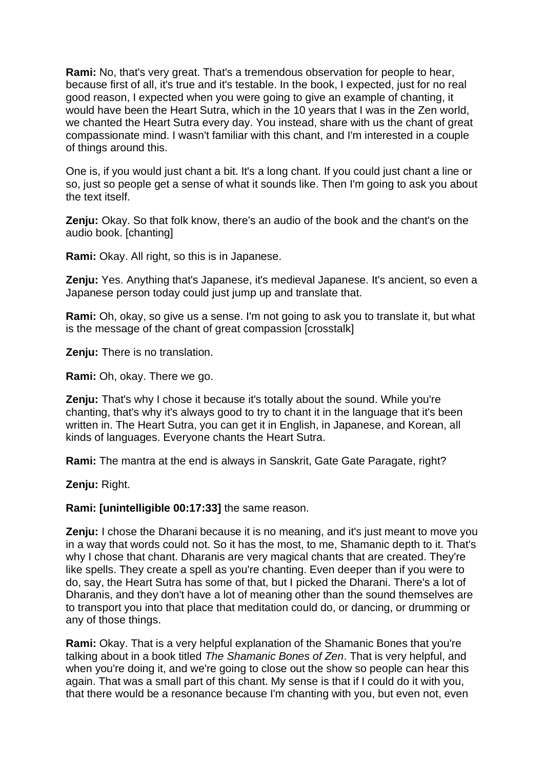**Rami:** No, that's very great. That's a tremendous observation for people to hear, because first of all, it's true and it's testable. In the book, I expected, just for no real good reason, I expected when you were going to give an example of chanting, it would have been the Heart Sutra, which in the 10 years that I was in the Zen world, we chanted the Heart Sutra every day. You instead, share with us the chant of great compassionate mind. I wasn't familiar with this chant, and I'm interested in a couple of things around this.

One is, if you would just chant a bit. It's a long chant. If you could just chant a line or so, just so people get a sense of what it sounds like. Then I'm going to ask you about the text itself.

**Zenju:** Okay. So that folk know, there's an audio of the book and the chant's on the audio book. [chanting]

**Rami:** Okay. All right, so this is in Japanese.

**Zenju:** Yes. Anything that's Japanese, it's medieval Japanese. It's ancient, so even a Japanese person today could just jump up and translate that.

**Rami:** Oh, okay, so give us a sense. I'm not going to ask you to translate it, but what is the message of the chant of great compassion [crosstalk]

**Zenju:** There is no translation.

**Rami:** Oh, okay. There we go.

**Zenju:** That's why I chose it because it's totally about the sound. While you're chanting, that's why it's always good to try to chant it in the language that it's been written in. The Heart Sutra, you can get it in English, in Japanese, and Korean, all kinds of languages. Everyone chants the Heart Sutra.

**Rami:** The mantra at the end is always in Sanskrit, Gate Gate Paragate, right?

**Zenju:** Right.

**Rami: [unintelligible 00:17:33]** the same reason.

**Zenju:** I chose the Dharani because it is no meaning, and it's just meant to move you in a way that words could not. So it has the most, to me, Shamanic depth to it. That's why I chose that chant. Dharanis are very magical chants that are created. They're like spells. They create a spell as you're chanting. Even deeper than if you were to do, say, the Heart Sutra has some of that, but I picked the Dharani. There's a lot of Dharanis, and they don't have a lot of meaning other than the sound themselves are to transport you into that place that meditation could do, or dancing, or drumming or any of those things.

**Rami:** Okay. That is a very helpful explanation of the Shamanic Bones that you're talking about in a book titled *The Shamanic Bones of Zen*. That is very helpful, and when you're doing it, and we're going to close out the show so people can hear this again. That was a small part of this chant. My sense is that if I could do it with you, that there would be a resonance because I'm chanting with you, but even not, even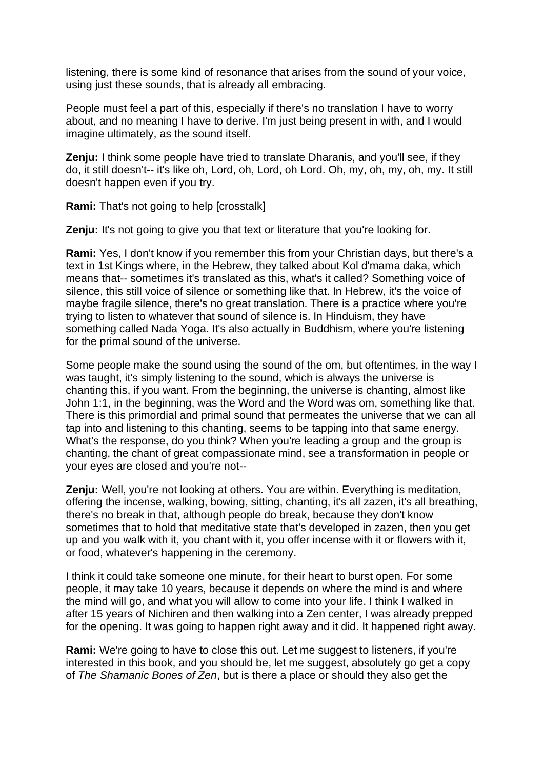listening, there is some kind of resonance that arises from the sound of your voice, using just these sounds, that is already all embracing.

People must feel a part of this, especially if there's no translation I have to worry about, and no meaning I have to derive. I'm just being present in with, and I would imagine ultimately, as the sound itself.

**Zenju:** I think some people have tried to translate Dharanis, and you'll see, if they do, it still doesn't-- it's like oh, Lord, oh, Lord, oh Lord. Oh, my, oh, my, oh, my. It still doesn't happen even if you try.

**Rami:** That's not going to help [crosstalk]

**Zenju:** It's not going to give you that text or literature that you're looking for.

**Rami:** Yes, I don't know if you remember this from your Christian days, but there's a text in 1st Kings where, in the Hebrew, they talked about Kol d'mama daka, which means that-- sometimes it's translated as this, what's it called? Something voice of silence, this still voice of silence or something like that. In Hebrew, it's the voice of maybe fragile silence, there's no great translation. There is a practice where you're trying to listen to whatever that sound of silence is. In Hinduism, they have something called Nada Yoga. It's also actually in Buddhism, where you're listening for the primal sound of the universe.

Some people make the sound using the sound of the om, but oftentimes, in the way I was taught, it's simply listening to the sound, which is always the universe is chanting this, if you want. From the beginning, the universe is chanting, almost like John 1:1, in the beginning, was the Word and the Word was om, something like that. There is this primordial and primal sound that permeates the universe that we can all tap into and listening to this chanting, seems to be tapping into that same energy. What's the response, do you think? When you're leading a group and the group is chanting, the chant of great compassionate mind, see a transformation in people or your eyes are closed and you're not--

**Zenju:** Well, you're not looking at others. You are within. Everything is meditation, offering the incense, walking, bowing, sitting, chanting, it's all zazen, it's all breathing, there's no break in that, although people do break, because they don't know sometimes that to hold that meditative state that's developed in zazen, then you get up and you walk with it, you chant with it, you offer incense with it or flowers with it, or food, whatever's happening in the ceremony.

I think it could take someone one minute, for their heart to burst open. For some people, it may take 10 years, because it depends on where the mind is and where the mind will go, and what you will allow to come into your life. I think I walked in after 15 years of Nichiren and then walking into a Zen center, I was already prepped for the opening. It was going to happen right away and it did. It happened right away.

**Rami:** We're going to have to close this out. Let me suggest to listeners, if you're interested in this book, and you should be, let me suggest, absolutely go get a copy of *The Shamanic Bones of Zen*, but is there a place or should they also get the